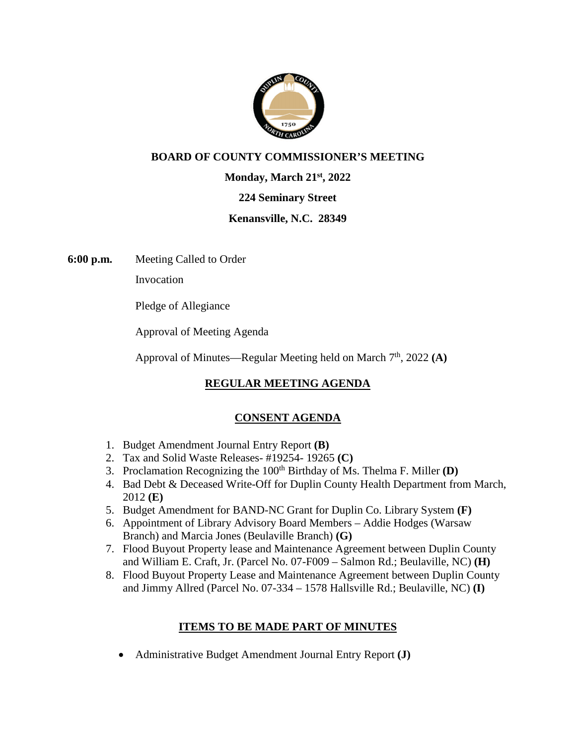

### **BOARD OF COUNTY COMMISSIONER'S MEETING**

**Monday, March 21st, 2022** 

#### **224 Seminary Street**

#### **Kenansville, N.C. 28349**

**6:00 p.m.** Meeting Called to Order

Invocation

Pledge of Allegiance

Approval of Meeting Agenda

Approval of Minutes—Regular Meeting held on March 7<sup>th</sup>, 2022 (A)

# **REGULAR MEETING AGENDA**

### **CONSENT AGENDA**

- 1. Budget Amendment Journal Entry Report **(B)**
- 2. Tax and Solid Waste Releases- #19254- 19265 **(C)**
- 3. Proclamation Recognizing the  $100<sup>th</sup>$  Birthday of Ms. Thelma F. Miller  $(D)$
- 4. Bad Debt & Deceased Write-Off for Duplin County Health Department from March, 2012 **(E)**
- 5. Budget Amendment for BAND-NC Grant for Duplin Co. Library System **(F)**
- 6. Appointment of Library Advisory Board Members Addie Hodges (Warsaw Branch) and Marcia Jones (Beulaville Branch) **(G)**
- 7. Flood Buyout Property lease and Maintenance Agreement between Duplin County and William E. Craft, Jr. (Parcel No. 07-F009 – Salmon Rd.; Beulaville, NC) **(H)**
- 8. Flood Buyout Property Lease and Maintenance Agreement between Duplin County and Jimmy Allred (Parcel No. 07-334 – 1578 Hallsville Rd.; Beulaville, NC) **(I)**

### **ITEMS TO BE MADE PART OF MINUTES**

Administrative Budget Amendment Journal Entry Report **(J)**